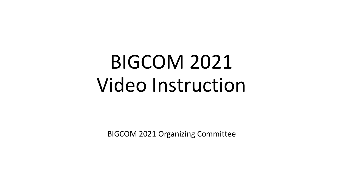# BIGCOM 2021 Video Instruction

BIGCOM 2021 Organizing Committee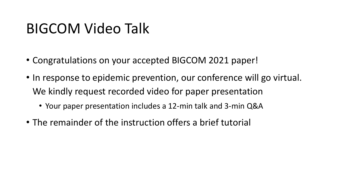#### BIGCOM Video Talk

- Congratulations on your accepted BIGCOM 2021 paper!
- In response to epidemic prevention, our conference will go virtual. We kindly request recorded video for paper presentation
	- Your paper presentation includes a 12-min talk and 3-min Q&A
- The remainder of the instruction offers a brief tutorial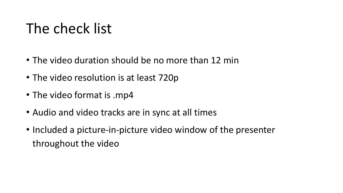## The check list

- The video duration should be no more than 12 min
- The video resolution is at least 720p
- The video format is .mp4
- Audio and video tracks are in sync at all times
- Included a picture-in-picture video window of the presenter throughout the video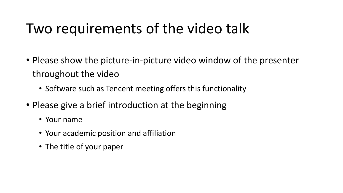## Two requirements of the video talk

- Please show the picture-in-picture video window of the presenter throughout the video
	- Software such as Tencent meeting offers this functionality
- Please give a brief introduction at the beginning
	- Your name
	- Your academic position and affiliation
	- The title of your paper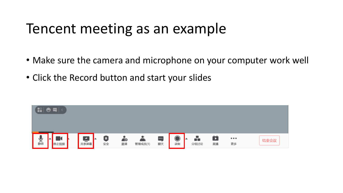#### Tencent meeting as an example

- Make sure the camera and microphone on your computer work well
- Click the Record button and start your slides

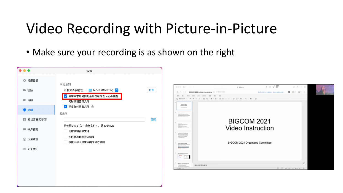## Video Recording with Picture-in-Picture

• Make sure your recording is as shown on the right

| $\bullet\bullet\bullet$ | 设置                                              |    |
|-------------------------|-------------------------------------------------|----|
| 尊 常规设置                  |                                                 |    |
| ■ 视频                    | 本地录制<br>TencentMeeting <sup>c</sup><br>录制文件保存至: | 打开 |
| ■ 音频                    | ● 屏幕共享期间同时录制正在说话人的小画面                           |    |
| ● 录制                    | 同时录制音频文件<br>√ 保留临时录制文件 ②                        |    |
|                         | 云录制                                             |    |
| ■ 虚拟背景和美颜               | 已使用0 MB(0个录制文件),共1024 MB                        | 管理 |
| ■ 帐户信息                  | 同时录制音频文件<br>同时开启自动会议纪要                          |    |
| ⓒ 质量监测                  | 按照主持人锁定的画面进行录制                                  |    |
| ₩ 关于我们                  |                                                 |    |
|                         |                                                 |    |
|                         |                                                 |    |